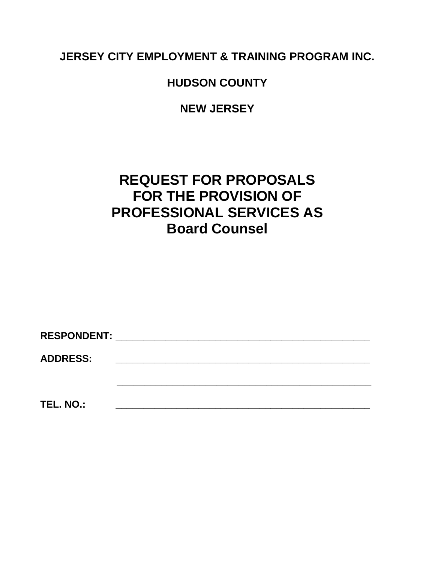**JERSEY CITY EMPLOYMENT & TRAINING PROGRAM INC.**

**HUDSON COUNTY**

**NEW JERSEY**

# **REQUEST FOR PROPOSALS FOR THE PROVISION OF PROFESSIONAL SERVICES AS Board Counsel**

| RESPONDENT: ________________ |  |  |  |
|------------------------------|--|--|--|
| <b>ADDRESS:</b>              |  |  |  |
|                              |  |  |  |
| TEL. NO.:                    |  |  |  |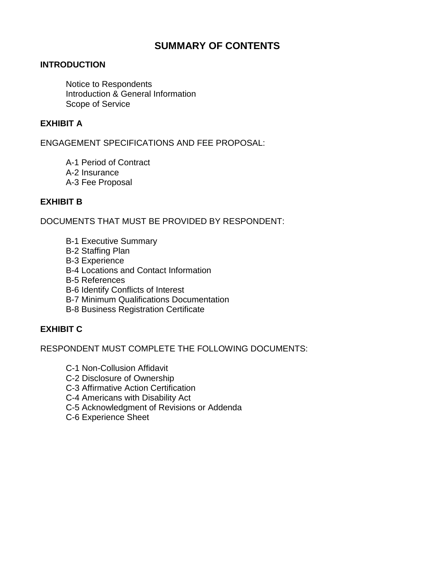### **SUMMARY OF CONTENTS**

#### **INTRODUCTION**

Notice to Respondents Introduction & General Information Scope of Service

#### **EXHIBIT A**

ENGAGEMENT SPECIFICATIONS AND FEE PROPOSAL:

A-1 Period of Contract A-2 Insurance A-3 Fee Proposal

#### **EXHIBIT B**

DOCUMENTS THAT MUST BE PROVIDED BY RESPONDENT:

- B-1 Executive Summary
- B-2 Staffing Plan
- B-3 Experience
- B-4 Locations and Contact Information
- B-5 References
- B-6 Identify Conflicts of Interest
- B-7 Minimum Qualifications Documentation
- B-8 Business Registration Certificate

#### **EXHIBIT C**

RESPONDENT MUST COMPLETE THE FOLLOWING DOCUMENTS:

- C-1 Non-Collusion Affidavit
- C-2 Disclosure of Ownership
- C-3 Affirmative Action Certification
- C-4 Americans with Disability Act
- C-5 Acknowledgment of Revisions or Addenda
- C-6 Experience Sheet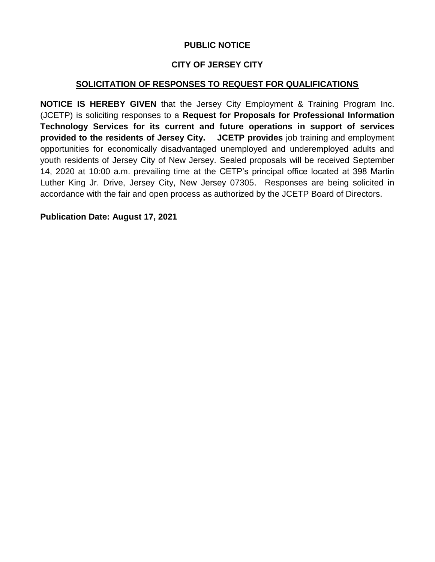#### **PUBLIC NOTICE**

### **CITY OF JERSEY CITY**

#### **SOLICITATION OF RESPONSES TO REQUEST FOR QUALIFICATIONS**

**NOTICE IS HEREBY GIVEN** that the Jersey City Employment & Training Program Inc. (JCETP) is soliciting responses to a **Request for Proposals for Professional Information Technology Services for its current and future operations in support of services provided to the residents of Jersey City. JCETP provides** job training and employment opportunities for economically disadvantaged unemployed and underemployed adults and youth residents of Jersey City of New Jersey. Sealed proposals will be received September 14, 2020 at 10:00 a.m. prevailing time at the CETP's principal office located at 398 Martin Luther King Jr. Drive, Jersey City, New Jersey 07305. Responses are being solicited in accordance with the fair and open process as authorized by the JCETP Board of Directors.

**Publication Date: August 17, 2021**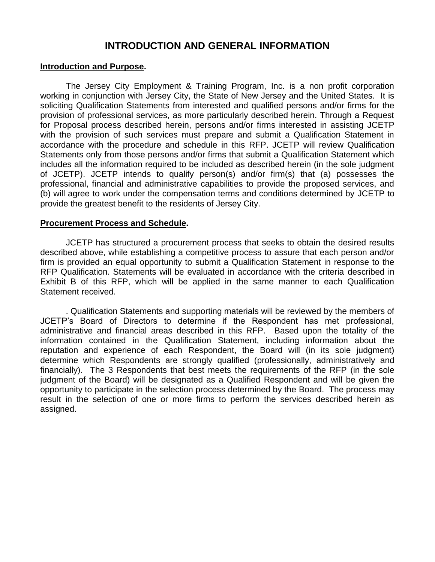### **INTRODUCTION AND GENERAL INFORMATION**

#### **Introduction and Purpose.**

The Jersey City Employment & Training Program, Inc. is a non profit corporation working in conjunction with Jersey City, the State of New Jersey and the United States. It is soliciting Qualification Statements from interested and qualified persons and/or firms for the provision of professional services, as more particularly described herein. Through a Request for Proposal process described herein, persons and/or firms interested in assisting JCETP with the provision of such services must prepare and submit a Qualification Statement in accordance with the procedure and schedule in this RFP. JCETP will review Qualification Statements only from those persons and/or firms that submit a Qualification Statement which includes all the information required to be included as described herein (in the sole judgment of JCETP). JCETP intends to qualify person(s) and/or firm(s) that (a) possesses the professional, financial and administrative capabilities to provide the proposed services, and (b) will agree to work under the compensation terms and conditions determined by JCETP to provide the greatest benefit to the residents of Jersey City.

#### **Procurement Process and Schedule.**

JCETP has structured a procurement process that seeks to obtain the desired results described above, while establishing a competitive process to assure that each person and/or firm is provided an equal opportunity to submit a Qualification Statement in response to the RFP Qualification. Statements will be evaluated in accordance with the criteria described in Exhibit B of this RFP, which will be applied in the same manner to each Qualification Statement received.

. Qualification Statements and supporting materials will be reviewed by the members of JCETP's Board of Directors to determine if the Respondent has met professional, administrative and financial areas described in this RFP. Based upon the totality of the information contained in the Qualification Statement, including information about the reputation and experience of each Respondent, the Board will (in its sole judgment) determine which Respondents are strongly qualified (professionally, administratively and financially). The 3 Respondents that best meets the requirements of the RFP (in the sole judgment of the Board) will be designated as a Qualified Respondent and will be given the opportunity to participate in the selection process determined by the Board. The process may result in the selection of one or more firms to perform the services described herein as assigned.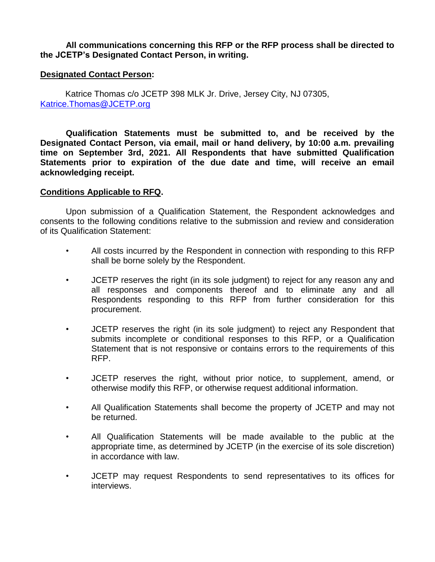**All communications concerning this RFP or the RFP process shall be directed to the JCETP's Designated Contact Person, in writing.** 

#### **Designated Contact Person:**

Katrice Thomas c/o JCETP 398 MLK Jr. Drive, Jersey City, NJ 07305, [Katrice.Thomas@JCETP.org](mailto:Katrice.Thomas@JCETP.org)

**Qualification Statements must be submitted to, and be received by the Designated Contact Person, via email, mail or hand delivery, by 10:00 a.m. prevailing time on September 3rd, 2021. All Respondents that have submitted Qualification Statements prior to expiration of the due date and time, will receive an email acknowledging receipt.** 

#### **Conditions Applicable to RFQ.**

Upon submission of a Qualification Statement, the Respondent acknowledges and consents to the following conditions relative to the submission and review and consideration of its Qualification Statement:

- All costs incurred by the Respondent in connection with responding to this RFP shall be borne solely by the Respondent.
- JCETP reserves the right (in its sole judgment) to reject for any reason any and all responses and components thereof and to eliminate any and all Respondents responding to this RFP from further consideration for this procurement.
- JCETP reserves the right (in its sole judgment) to reject any Respondent that submits incomplete or conditional responses to this RFP, or a Qualification Statement that is not responsive or contains errors to the requirements of this RFP.
- JCETP reserves the right, without prior notice, to supplement, amend, or otherwise modify this RFP, or otherwise request additional information.
- All Qualification Statements shall become the property of JCETP and may not be returned.
- All Qualification Statements will be made available to the public at the appropriate time, as determined by JCETP (in the exercise of its sole discretion) in accordance with law.
- JCETP may request Respondents to send representatives to its offices for interviews.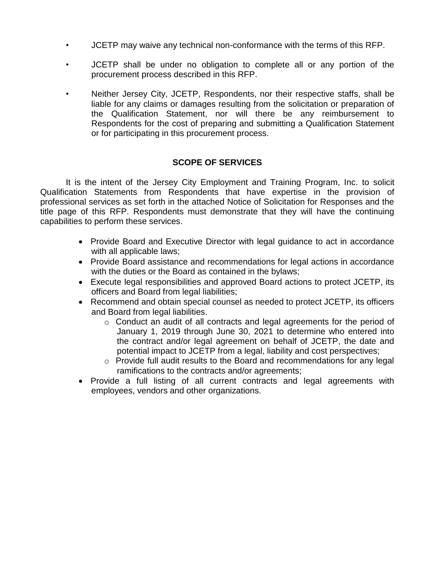- JCETP may waive any technical non-conformance with the terms of this RFP.
- JCETP shall be under no obligation to complete all or any portion of the procurement process described in this RFP.
- Neither Jersey City, JCETP, Respondents, nor their respective staffs, shall be liable for any claims or damages resulting from the solicitation or preparation of the Qualification Statement, nor will there be any reimbursement to Respondents for the cost of preparing and submitting a Qualification Statement or for participating in this procurement process.

#### **SCOPE OF SERVICES**

It is the intent of the Jersey City Employment and Training Program, Inc. to solicit Qualification Statements from Respondents that have expertise in the provision of professional services as set forth in the attached Notice of Solicitation for Responses and the title page of this RFP. Respondents must demonstrate that they will have the continuing capabilities to perform these services.

- Provide Board and Executive Director with legal guidance to act in accordance with all applicable laws;
- Provide Board assistance and recommendations for legal actions in accordance with the duties or the Board as contained in the bylaws;
- Execute legal responsibilities and approved Board actions to protect JCETP, its officers and Board from legal liabilities;
- Recommend and obtain special counsel as needed to protect JCETP, its officers and Board from legal liabilities.
	- $\circ$  Conduct an audit of all contracts and legal agreements for the period of January 1, 2019 through June 30, 2021 to determine who entered into the contract and/or legal agreement on behalf of JCETP, the date and potential impact to JCETP from a legal, liability and cost perspectives;
	- o Provide full audit results to the Board and recommendations for any legal ramifications to the contracts and/or agreements;
- Provide a full listing of all current contracts and legal agreements with employees, vendors and other organizations.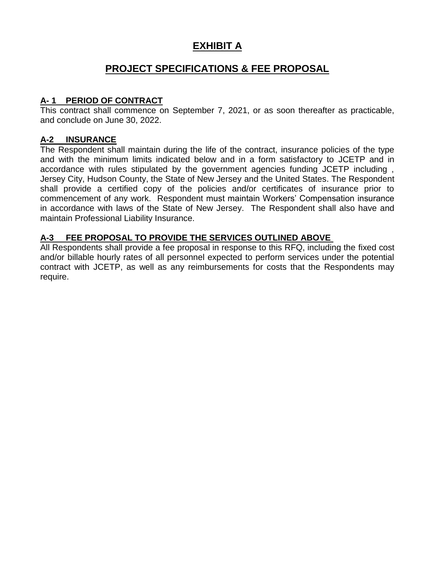### **EXHIBIT A**

### **PROJECT SPECIFICATIONS & FEE PROPOSAL**

#### **A- 1 PERIOD OF CONTRACT**

This contract shall commence on September 7, 2021, or as soon thereafter as practicable, and conclude on June 30, 2022.

#### **A-2 INSURANCE**

The Respondent shall maintain during the life of the contract, insurance policies of the type and with the minimum limits indicated below and in a form satisfactory to JCETP and in accordance with rules stipulated by the government agencies funding JCETP including , Jersey City, Hudson County, the State of New Jersey and the United States. The Respondent shall provide a certified copy of the policies and/or certificates of insurance prior to commencement of any work. Respondent must maintain Workers' Compensation insurance in accordance with laws of the State of New Jersey. The Respondent shall also have and maintain Professional Liability Insurance.

#### **A-3 FEE PROPOSAL TO PROVIDE THE SERVICES OUTLINED ABOVE**

All Respondents shall provide a fee proposal in response to this RFQ, including the fixed cost and/or billable hourly rates of all personnel expected to perform services under the potential contract with JCETP, as well as any reimbursements for costs that the Respondents may require.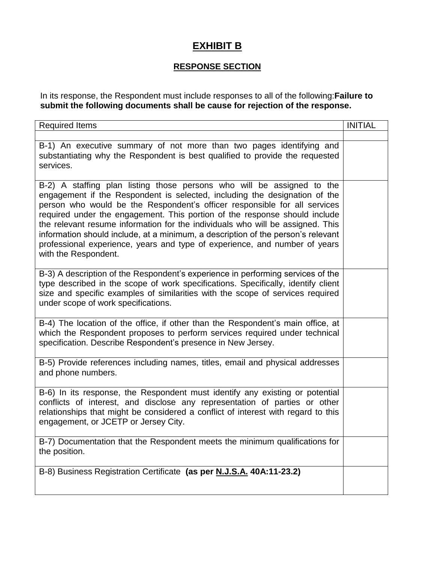## **EXHIBIT B**

### **RESPONSE SECTION**

In its response, the Respondent must include responses to all of the following:**Failure to submit the following documents shall be cause for rejection of the response.**

| <b>Required Items</b>                                                                                                                                                                                                                                                                                                                                                                                                                                                                                                                                                                       | <b>INITIAL</b> |
|---------------------------------------------------------------------------------------------------------------------------------------------------------------------------------------------------------------------------------------------------------------------------------------------------------------------------------------------------------------------------------------------------------------------------------------------------------------------------------------------------------------------------------------------------------------------------------------------|----------------|
|                                                                                                                                                                                                                                                                                                                                                                                                                                                                                                                                                                                             |                |
| B-1) An executive summary of not more than two pages identifying and<br>substantiating why the Respondent is best qualified to provide the requested<br>services.                                                                                                                                                                                                                                                                                                                                                                                                                           |                |
| B-2) A staffing plan listing those persons who will be assigned to the<br>engagement if the Respondent is selected, including the designation of the<br>person who would be the Respondent's officer responsible for all services<br>required under the engagement. This portion of the response should include<br>the relevant resume information for the individuals who will be assigned. This<br>information should include, at a minimum, a description of the person's relevant<br>professional experience, years and type of experience, and number of years<br>with the Respondent. |                |
| B-3) A description of the Respondent's experience in performing services of the<br>type described in the scope of work specifications. Specifically, identify client<br>size and specific examples of similarities with the scope of services required<br>under scope of work specifications.                                                                                                                                                                                                                                                                                               |                |
| B-4) The location of the office, if other than the Respondent's main office, at<br>which the Respondent proposes to perform services required under technical<br>specification. Describe Respondent's presence in New Jersey.                                                                                                                                                                                                                                                                                                                                                               |                |
| B-5) Provide references including names, titles, email and physical addresses<br>and phone numbers.                                                                                                                                                                                                                                                                                                                                                                                                                                                                                         |                |
| B-6) In its response, the Respondent must identify any existing or potential<br>conflicts of interest, and disclose any representation of parties or other<br>relationships that might be considered a conflict of interest with regard to this<br>engagement, or JCETP or Jersey City.                                                                                                                                                                                                                                                                                                     |                |
| B-7) Documentation that the Respondent meets the minimum qualifications for<br>the position.                                                                                                                                                                                                                                                                                                                                                                                                                                                                                                |                |
| B-8) Business Registration Certificate (as per N.J.S.A. 40A:11-23.2)                                                                                                                                                                                                                                                                                                                                                                                                                                                                                                                        |                |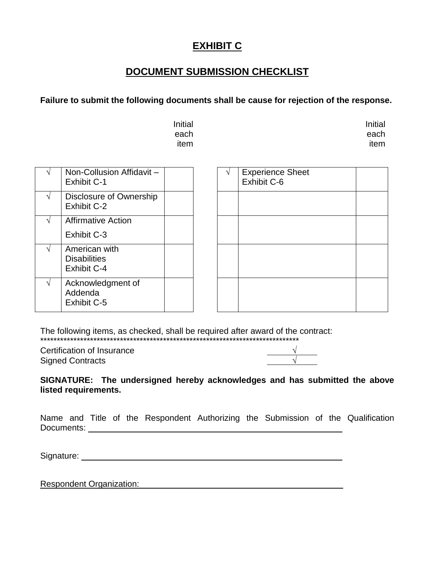### **DOCUMENT SUBMISSION CHECKLIST**

#### **Failure to submit the following documents shall be cause for rejection of the response.**

| Initial | Initial |
|---------|---------|
| each    | each    |
| item    | item    |

|               | Non-Collusion Affidavit -<br><b>Exhibit C-1</b>            |  | <b>Experience Sheet</b><br>Exhibit C-6 |  |
|---------------|------------------------------------------------------------|--|----------------------------------------|--|
| $\mathcal{N}$ | Disclosure of Ownership<br>Exhibit C-2                     |  |                                        |  |
| V             | <b>Affirmative Action</b>                                  |  |                                        |  |
|               | Exhibit C-3                                                |  |                                        |  |
| ٦I            | American with<br><b>Disabilities</b><br><b>Exhibit C-4</b> |  |                                        |  |
| $\sqrt{ }$    | Acknowledgment of<br>Addenda<br><b>Exhibit C-5</b>         |  |                                        |  |

The following items, as checked, shall be required after award of the contract: \*\*\*\*\*\*\*\*\*\*\*\*\*\*\*\*\*\*\*\*\*\*\*\*\*\*\*\*\*\*\*\*\*\*\*\*\*\*\*\*\*\*\*\*\*\*\*\*\*\*\*\*\*\*\*\*\*\*\*\*\*\*\*\*\*\*\*\*\*\*\*\*\*\*\*\*\*\*

Certification of Insurance √ Signed Contracts √

**SIGNATURE: The undersigned hereby acknowledges and has submitted the above listed requirements.**

Name and Title of the Respondent Authorizing the Submission of the Qualification Documents: \_\_\_\_\_\_\_\_\_\_\_\_\_\_\_\_\_\_

Signature: Signature: Signature: Signature: Signature: Signature: Signature: Signature: Signature: Signature: Signature: Signature: Signature: Signature: Signature: Signature: Signature: Signature: Signature: Signature: Si

Respondent Organization: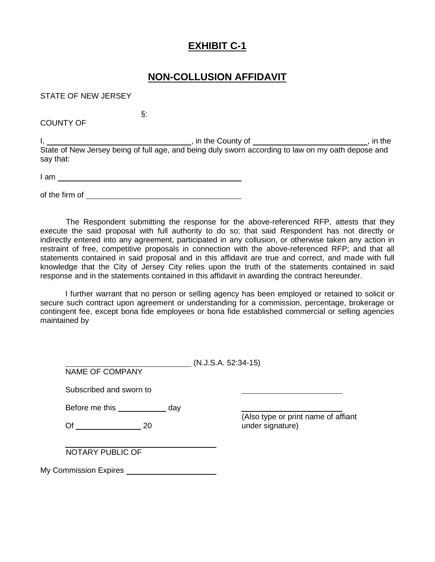### **NON-COLLUSION AFFIDAVIT**

STATE OF NEW JERSEY

COUNTY OF

I, 1. All the County of  $\frac{1}{2}$  and  $\frac{1}{2}$  are  $\frac{1}{2}$  , in the County of  $\frac{1}{2}$  and  $\frac{1}{2}$  are  $\frac{1}{2}$  and  $\frac{1}{2}$  are  $\frac{1}{2}$  and  $\frac{1}{2}$  are  $\frac{1}{2}$  and  $\frac{1}{2}$  are  $\frac{1}{2}$  and  $\frac{1}{2}$  are State of New Jersey being of full age, and being duly sworn according to law on my oath depose and say that:

I am

§:

of the firm of

The Respondent submitting the response for the above-referenced RFP, attests that they execute the said proposal with full authority to do so; that said Respondent has not directly or indirectly entered into any agreement, participated in any collusion, or otherwise taken any action in restraint of free, competitive proposals in connection with the above-referenced RFP; and that all statements contained in said proposal and in this affidavit are true and correct, and made with full knowledge that the City of Jersey City relies upon the truth of the statements contained in said response and in the statements contained in this affidavit in awarding the contract hereunder.

I further warrant that no person or selling agency has been employed or retained to solicit or secure such contract upon agreement or understanding for a commission, percentage, brokerage or contingent fee, except bona fide employees or bona fide established commercial or selling agencies maintained by

| <b>NAME OF COMPANY</b>  | $(N.J.S.A. 52:34-15)$ |                                     |
|-------------------------|-----------------------|-------------------------------------|
| Subscribed and sworn to |                       |                                     |
| Before me this          | day                   | (Also type or print name of affiant |
| Of<br>20                |                       | under signature)                    |
| NOTARY PUBLIC OF        |                       |                                     |
|                         |                       |                                     |

My Commission Expires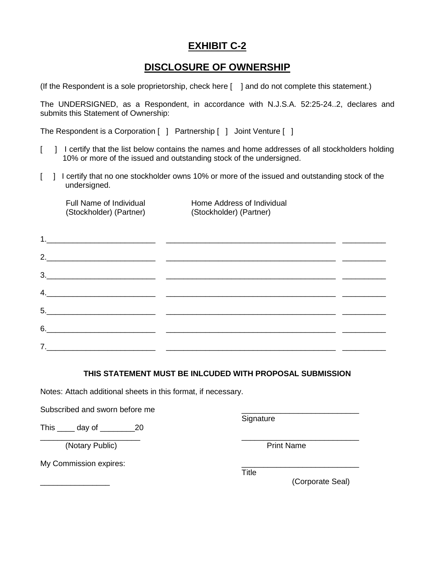### **DISCLOSURE OF OWNERSHIP**

(If the Respondent is a sole proprietorship, check here [ ] and do not complete this statement.)

The UNDERSIGNED, as a Respondent, in accordance with N.J.S.A. 52:25-24..2, declares and submits this Statement of Ownership:

The Respondent is a Corporation [ ] Partnership [ ] Joint Venture [ ]

- [ ] I certify that the list below contains the names and home addresses of all stockholders holding 10% or more of the issued and outstanding stock of the undersigned.
- [ ] I certify that no one stockholder owns 10% or more of the issued and outstanding stock of the undersigned.

(Stockholder) (Partner) (Stockholder) (Partner)

Full Name of Individual Home Address of Individual

| $6. \qquad \qquad \overbrace{\qquad \qquad }$ |  |
|-----------------------------------------------|--|
|                                               |  |

#### **THIS STATEMENT MUST BE INLCUDED WITH PROPOSAL SUBMISSION**

\_\_\_\_\_\_\_\_\_\_\_\_\_\_\_\_\_\_\_\_\_\_\_ \_\_\_\_\_\_\_\_\_\_\_\_\_\_\_\_\_\_\_\_\_\_\_\_\_\_\_

Notes: Attach additional sheets in this format, if necessary.

Subscribed and sworn before me

This day of 20

(Notary Public) and The Print Name

My Commission expires:

**Signature** 

**Title** 

\_\_\_\_\_\_\_\_\_\_\_\_\_\_\_\_ (Corporate Seal)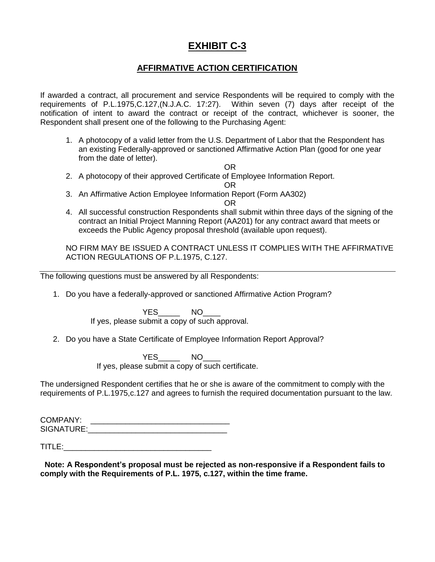#### **AFFIRMATIVE ACTION CERTIFICATION**

If awarded a contract, all procurement and service Respondents will be required to comply with the requirements of P.L.1975,C.127,(N.J.A.C. 17:27). Within seven (7) days after receipt of the notification of intent to award the contract or receipt of the contract, whichever is sooner, the Respondent shall present one of the following to the Purchasing Agent:

1. A photocopy of a valid letter from the U.S. Department of Labor that the Respondent has an existing Federally-approved or sanctioned Affirmative Action Plan (good for one year from the date of letter).

OR

2. A photocopy of their approved Certificate of Employee Information Report.

OR

3. An Affirmative Action Employee Information Report (Form AA302)

OR

4. All successful construction Respondents shall submit within three days of the signing of the contract an Initial Project Manning Report (AA201) for any contract award that meets or exceeds the Public Agency proposal threshold (available upon request).

NO FIRM MAY BE ISSUED A CONTRACT UNLESS IT COMPLIES WITH THE AFFIRMATIVE ACTION REGULATIONS OF P.L.1975, C.127.

The following questions must be answered by all Respondents:

1. Do you have a federally-approved or sanctioned Affirmative Action Program?

YES<sup>NO</sup> If yes, please submit a copy of such approval.

2. Do you have a State Certificate of Employee Information Report Approval?

YES<sup>NO</sup> If yes, please submit a copy of such certificate.

The undersigned Respondent certifies that he or she is aware of the commitment to comply with the requirements of P.L.1975,c.127 and agrees to furnish the required documentation pursuant to the law.

COMPANY: \_\_\_\_\_\_\_\_\_\_\_\_\_\_\_\_\_\_\_\_\_\_\_\_\_\_\_\_\_\_\_\_ SIGNATURE:\_\_\_\_\_\_\_\_\_\_\_\_\_\_\_\_\_\_\_\_\_\_\_\_\_\_\_\_\_\_\_\_

 $\mathsf{TITEE:}\qquad \qquad \blacksquare$ 

 **Note: A Respondent's proposal must be rejected as non-responsive if a Respondent fails to comply with the Requirements of P.L. 1975, c.127, within the time frame.**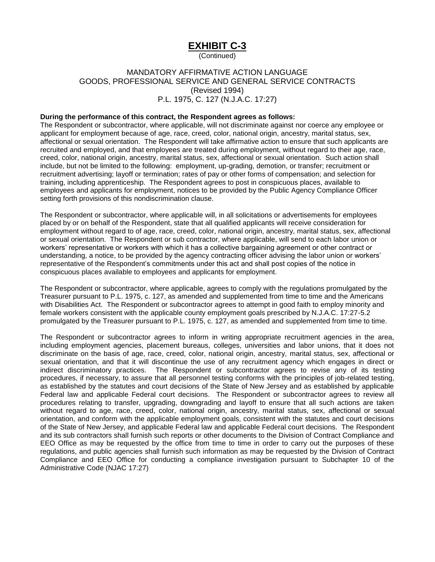(Continued)

#### MANDATORY AFFIRMATIVE ACTION LANGUAGE GOODS, PROFESSIONAL SERVICE AND GENERAL SERVICE CONTRACTS (Revised 1994) P.L. 1975, C. 127 (N.J.A.C. 17:27)

#### **During the performance of this contract, the Respondent agrees as follows:**

The Respondent or subcontractor, where applicable, will not discriminate against nor coerce any employee or applicant for employment because of age, race, creed, color, national origin, ancestry, marital status, sex, affectional or sexual orientation. The Respondent will take affirmative action to ensure that such applicants are recruited and employed, and that employees are treated during employment, without regard to their age, race, creed, color, national origin, ancestry, marital status, sex, affectional or sexual orientation. Such action shall include, but not be limited to the following: employment, up-grading, demotion, or transfer; recruitment or recruitment advertising; layoff or termination; rates of pay or other forms of compensation; and selection for training, including apprenticeship. The Respondent agrees to post in conspicuous places, available to employees and applicants for employment, notices to be provided by the Public Agency Compliance Officer setting forth provisions of this nondiscrimination clause.

The Respondent or subcontractor, where applicable will, in all solicitations or advertisements for employees placed by or on behalf of the Respondent, state that all qualified applicants will receive consideration for employment without regard to of age, race, creed, color, national origin, ancestry, marital status, sex, affectional or sexual orientation. The Respondent or sub contractor, where applicable, will send to each labor union or workers' representative or workers with which it has a collective bargaining agreement or other contract or understanding, a notice, to be provided by the agency contracting officer advising the labor union or workers' representative of the Respondent's commitments under this act and shall post copies of the notice in conspicuous places available to employees and applicants for employment.

The Respondent or subcontractor, where applicable, agrees to comply with the regulations promulgated by the Treasurer pursuant to P.L. 1975, c. 127, as amended and supplemented from time to time and the Americans with Disabilities Act. The Respondent or subcontractor agrees to attempt in good faith to employ minority and female workers consistent with the applicable county employment goals prescribed by N.J.A.C. 17:27-5.2 promulgated by the Treasurer pursuant to P.L. 1975, c. 127, as amended and supplemented from time to time.

The Respondent or subcontractor agrees to inform in writing appropriate recruitment agencies in the area, including employment agencies, placement bureaus, colleges, universities and labor unions, that it does not discriminate on the basis of age, race, creed, color, national origin, ancestry, marital status, sex, affectional or sexual orientation, and that it will discontinue the use of any recruitment agency which engages in direct or indirect discriminatory practices. The Respondent or subcontractor agrees to revise any of its testing procedures, if necessary, to assure that all personnel testing conforms with the principles of job-related testing, as established by the statutes and court decisions of the State of New Jersey and as established by applicable Federal law and applicable Federal court decisions. The Respondent or subcontractor agrees to review all procedures relating to transfer, upgrading, downgrading and layoff to ensure that all such actions are taken without regard to age, race, creed, color, national origin, ancestry, marital status, sex, affectional or sexual orientation, and conform with the applicable employment goals, consistent with the statutes and court decisions of the State of New Jersey, and applicable Federal law and applicable Federal court decisions. The Respondent and its sub contractors shall furnish such reports or other documents to the Division of Contract Compliance and EEO Office as may be requested by the office from time to time in order to carry out the purposes of these regulations, and public agencies shall furnish such information as may be requested by the Division of Contract Compliance and EEO Office for conducting a compliance investigation pursuant to Subchapter 10 of the Administrative Code (NJAC 17:27)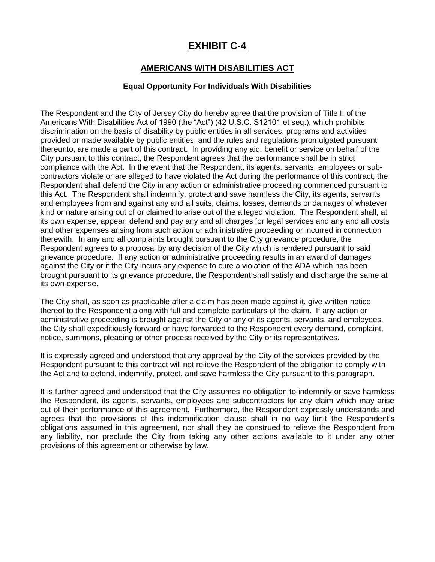#### **AMERICANS WITH DISABILITIES ACT**

#### **Equal Opportunity For Individuals With Disabilities**

The Respondent and the City of Jersey City do hereby agree that the provision of Title II of the Americans With Disabilities Act of 1990 (the "Act") (42 U.S.C. S12101 et seq.), which prohibits discrimination on the basis of disability by public entities in all services, programs and activities provided or made available by public entities, and the rules and regulations promulgated pursuant thereunto, are made a part of this contract. In providing any aid, benefit or service on behalf of the City pursuant to this contract, the Respondent agrees that the performance shall be in strict compliance with the Act. In the event that the Respondent, its agents, servants, employees or subcontractors violate or are alleged to have violated the Act during the performance of this contract, the Respondent shall defend the City in any action or administrative proceeding commenced pursuant to this Act. The Respondent shall indemnify, protect and save harmless the City, its agents, servants and employees from and against any and all suits, claims, losses, demands or damages of whatever kind or nature arising out of or claimed to arise out of the alleged violation. The Respondent shall, at its own expense, appear, defend and pay any and all charges for legal services and any and all costs and other expenses arising from such action or administrative proceeding or incurred in connection therewith. In any and all complaints brought pursuant to the City grievance procedure, the Respondent agrees to a proposal by any decision of the City which is rendered pursuant to said grievance procedure. If any action or administrative proceeding results in an award of damages against the City or if the City incurs any expense to cure a violation of the ADA which has been brought pursuant to its grievance procedure, the Respondent shall satisfy and discharge the same at its own expense.

The City shall, as soon as practicable after a claim has been made against it, give written notice thereof to the Respondent along with full and complete particulars of the claim. If any action or administrative proceeding is brought against the City or any of its agents, servants, and employees, the City shall expeditiously forward or have forwarded to the Respondent every demand, complaint, notice, summons, pleading or other process received by the City or its representatives.

It is expressly agreed and understood that any approval by the City of the services provided by the Respondent pursuant to this contract will not relieve the Respondent of the obligation to comply with the Act and to defend, indemnify, protect, and save harmless the City pursuant to this paragraph.

It is further agreed and understood that the City assumes no obligation to indemnify or save harmless the Respondent, its agents, servants, employees and subcontractors for any claim which may arise out of their performance of this agreement. Furthermore, the Respondent expressly understands and agrees that the provisions of this indemnification clause shall in no way limit the Respondent's obligations assumed in this agreement, nor shall they be construed to relieve the Respondent from any liability, nor preclude the City from taking any other actions available to it under any other provisions of this agreement or otherwise by law.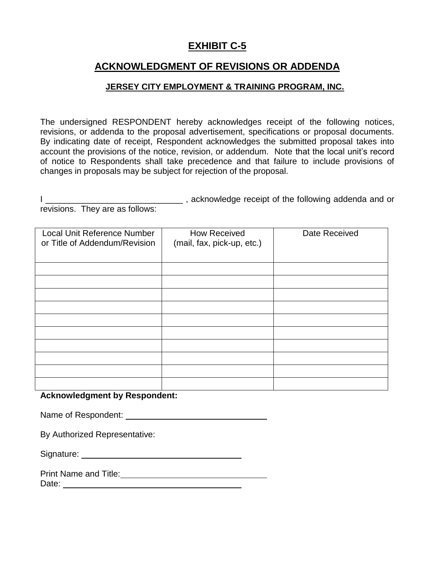### **ACKNOWLEDGMENT OF REVISIONS OR ADDENDA**

#### **JERSEY CITY EMPLOYMENT & TRAINING PROGRAM, INC.**

The undersigned RESPONDENT hereby acknowledges receipt of the following notices, revisions, or addenda to the proposal advertisement, specifications or proposal documents. By indicating date of receipt, Respondent acknowledges the submitted proposal takes into account the provisions of the notice, revision, or addendum. Note that the local unit's record of notice to Respondents shall take precedence and that failure to include provisions of changes in proposals may be subject for rejection of the proposal.

|                                 | , acknowledge receipt of the following addenda and or |  |
|---------------------------------|-------------------------------------------------------|--|
| revisions. They are as follows: |                                                       |  |

| Local Unit Reference Number<br>or Title of Addendum/Revision | <b>How Received</b><br>(mail, fax, pick-up, etc.) | Date Received |
|--------------------------------------------------------------|---------------------------------------------------|---------------|
|                                                              |                                                   |               |
|                                                              |                                                   |               |
|                                                              |                                                   |               |
|                                                              |                                                   |               |
|                                                              |                                                   |               |
|                                                              |                                                   |               |
|                                                              |                                                   |               |
|                                                              |                                                   |               |
|                                                              |                                                   |               |
|                                                              |                                                   |               |

#### **Acknowledgment by Respondent:**

Name of Respondent:

By Authorized Representative:

| Signature: |  |
|------------|--|
|            |  |

Print Name and Title: Date: <u>\_\_\_\_\_\_\_\_\_\_\_\_\_\_\_\_</u>